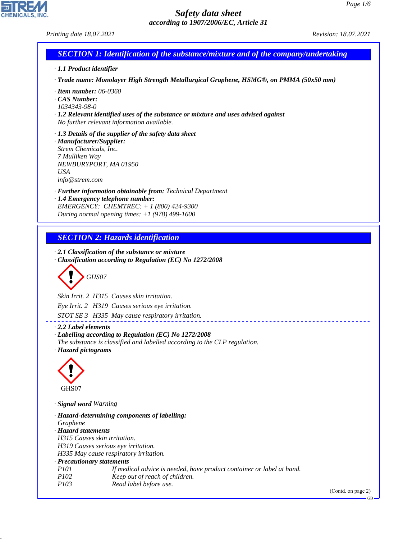*Printing date 18.07.2021 Revision: 18.07.2021*

CHEMICALS, INC.

44.1.1

| $\ldots$                                                                                     |                                                                                                                                                                                                                                                                                                     |                    |
|----------------------------------------------------------------------------------------------|-----------------------------------------------------------------------------------------------------------------------------------------------------------------------------------------------------------------------------------------------------------------------------------------------------|--------------------|
|                                                                                              | <b>SECTION 1: Identification of the substance/mixture and of the company/undertaking</b>                                                                                                                                                                                                            |                    |
| · 1.1 Product identifier                                                                     |                                                                                                                                                                                                                                                                                                     |                    |
|                                                                                              | · Trade name: Monolayer High Strength Metallurgical Graphene, HSMG®, on PMMA (50x50 mm)                                                                                                                                                                                                             |                    |
| $\cdot$ Item number: 06-0360<br>CAS Number:<br>1034343-98-0                                  | $\cdot$ 1.2 Relevant identified uses of the substance or mixture and uses advised against<br>No further relevant information available.                                                                                                                                                             |                    |
| · Manufacturer/Supplier:<br>Strem Chemicals, Inc.<br>7 Mulliken Way<br>USA<br>info@strem.com | $\cdot$ 1.3 Details of the supplier of the safety data sheet<br>NEWBURYPORT, MA 01950                                                                                                                                                                                                               |                    |
|                                                                                              | · Further information obtainable from: Technical Department<br>· 1.4 Emergency telephone number:<br>EMERGENCY: CHEMTREC: + 1 (800) 424-9300<br>During normal opening times: $+1$ (978) 499-1600                                                                                                     |                    |
|                                                                                              |                                                                                                                                                                                                                                                                                                     |                    |
|                                                                                              | <b>SECTION 2: Hazards identification</b>                                                                                                                                                                                                                                                            |                    |
|                                                                                              | $\cdot$ 2.1 Classification of the substance or mixture<br>Classification according to Regulation (EC) No 1272/2008<br>GHS07<br>Skin Irrit. 2 H315 Causes skin irritation.                                                                                                                           |                    |
|                                                                                              | Eye Irrit. 2 H319 Causes serious eye irritation.                                                                                                                                                                                                                                                    |                    |
|                                                                                              | STOT SE 3 H335 May cause respiratory irritation.                                                                                                                                                                                                                                                    |                    |
| $\cdot$ 2.2 Label elements<br>· Hazard pictograms<br>GHS07                                   | · Labelling according to Regulation (EC) No 1272/2008<br>The substance is classified and labelled according to the CLP regulation.                                                                                                                                                                  |                    |
| · Signal word Warning                                                                        |                                                                                                                                                                                                                                                                                                     |                    |
| Graphene<br>· Hazard statements<br>· Precautionary statements<br><i>P101</i><br>P102<br>P103 | · Hazard-determining components of labelling:<br>H315 Causes skin irritation.<br>H319 Causes serious eye irritation.<br>H335 May cause respiratory irritation.<br>If medical advice is needed, have product container or label at hand.<br>Keep out of reach of children.<br>Read label before use. |                    |
|                                                                                              |                                                                                                                                                                                                                                                                                                     | (Contd. on page 2) |
|                                                                                              |                                                                                                                                                                                                                                                                                                     | $GB -$             |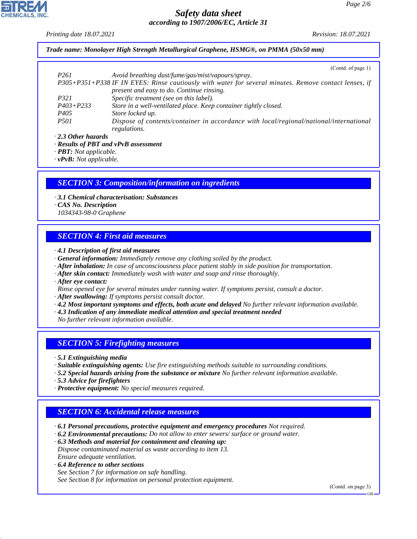*Printing date 18.07.2021 Revision: 18.07.2021*

*Trade name: Monolayer High Strength Metallurgical Graphene, HSMG®, on PMMA (50x50 mm)*

|                           | (Cond. of page 1)                                                                                     |
|---------------------------|-------------------------------------------------------------------------------------------------------|
| P <sub>261</sub>          | Avoid breathing dust/fume/gas/mist/vapours/spray.                                                     |
|                           | P305+P351+P338 IF IN EYES: Rinse cautiously with water for several minutes. Remove contact lenses, if |
|                           | present and easy to do. Continue rinsing.                                                             |
| <i>P321</i>               | Specific treatment (see on this label).                                                               |
| $P403 + P233$             | Store in a well-ventilated place. Keep container tightly closed.                                      |
| P <sub>405</sub>          | Store locked up.                                                                                      |
| <i>P501</i>               | Dispose of contents/container in accordance with local/regional/national/international                |
|                           | regulations.                                                                                          |
| $\cdot$ 2.3 Other hazards |                                                                                                       |

*· Results of PBT and vPvB assessment*

*· PBT: Not applicable.*

*· vPvB: Not applicable.*

#### *SECTION 3: Composition/information on ingredients*

- *· 3.1 Chemical characterisation: Substances*
- *· CAS No. Description*
- *1034343-98-0 Graphene*

# *SECTION 4: First aid measures*

- *· 4.1 Description of first aid measures*
- *· General information: Immediately remove any clothing soiled by the product.*
- *· After inhalation: In case of unconsciousness place patient stably in side position for transportation.*
- *· After skin contact: Immediately wash with water and soap and rinse thoroughly.*
- *· After eye contact:*
- *Rinse opened eye for several minutes under running water. If symptoms persist, consult a doctor.*
- *· After swallowing: If symptoms persist consult doctor.*
- *· 4.2 Most important symptoms and effects, both acute and delayed No further relevant information available.*
- *· 4.3 Indication of any immediate medical attention and special treatment needed*
- *No further relevant information available.*

# *SECTION 5: Firefighting measures*

*· 5.1 Extinguishing media*

- *· Suitable extinguishing agents: Use fire extinguishing methods suitable to surrounding conditions.*
- *· 5.2 Special hazards arising from the substance or mixture No further relevant information available.*
- *· 5.3 Advice for firefighters*
- *· Protective equipment: No special measures required.*

# *SECTION 6: Accidental release measures*

- *· 6.1 Personal precautions, protective equipment and emergency procedures Not required.*
- *· 6.2 Environmental precautions: Do not allow to enter sewers/ surface or ground water.*

*· 6.3 Methods and material for containment and cleaning up: Dispose contaminated material as waste according to item 13. Ensure adequate ventilation.*

*· 6.4 Reference to other sections*

44.1.1

*See Section 7 for information on safe handling. See Section 8 for information on personal protection equipment.*

(Contd. on page 3)

GB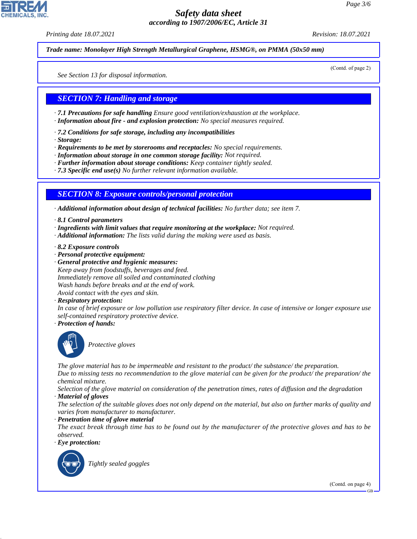*Printing date 18.07.2021 Revision: 18.07.2021*

*Trade name: Monolayer High Strength Metallurgical Graphene, HSMG®, on PMMA (50x50 mm)*

(Contd. of page 2)

*See Section 13 for disposal information.*

# *SECTION 7: Handling and storage*

*· 7.1 Precautions for safe handling Ensure good ventilation/exhaustion at the workplace.*

- *· Information about fire and explosion protection: No special measures required.*
- *· 7.2 Conditions for safe storage, including any incompatibilities*
- *· Storage:*

*· Requirements to be met by storerooms and receptacles: No special requirements.*

- *· Information about storage in one common storage facility: Not required.*
- *· Further information about storage conditions: Keep container tightly sealed.*
- *· 7.3 Specific end use(s) No further relevant information available.*

### *SECTION 8: Exposure controls/personal protection*

*· Additional information about design of technical facilities: No further data; see item 7.*

- *· 8.1 Control parameters*
- *· Ingredients with limit values that require monitoring at the workplace: Not required.*
- *· Additional information: The lists valid during the making were used as basis.*
- *· 8.2 Exposure controls*
- *· Personal protective equipment:*
- *· General protective and hygienic measures: Keep away from foodstuffs, beverages and feed. Immediately remove all soiled and contaminated clothing Wash hands before breaks and at the end of work. Avoid contact with the eyes and skin.*
- *· Respiratory protection:*

*In case of brief exposure or low pollution use respiratory filter device. In case of intensive or longer exposure use self-contained respiratory protective device.*

*· Protection of hands:*



\_S*Protective gloves*

*The glove material has to be impermeable and resistant to the product/ the substance/ the preparation.*

*Due to missing tests no recommendation to the glove material can be given for the product/ the preparation/ the chemical mixture.*

*Selection of the glove material on consideration of the penetration times, rates of diffusion and the degradation*

*· Material of gloves*

*The selection of the suitable gloves does not only depend on the material, but also on further marks of quality and varies from manufacturer to manufacturer.*

*· Penetration time of glove material*

*The exact break through time has to be found out by the manufacturer of the protective gloves and has to be observed.*

*· Eye protection:*



44.1.1

\_R*Tightly sealed goggles*

(Contd. on page 4)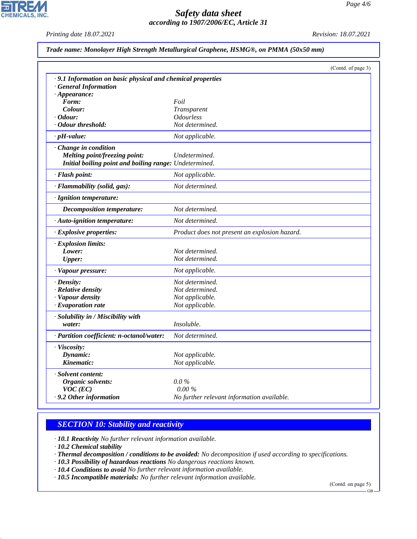*Printing date 18.07.2021 Revision: 18.07.2021*

 $\overline{\phantom{a}}$ 

**CHEMICALS, INC.** 

|  |  |  |  | Trade name: Monolayer High Strength Metallurgical Graphene, HSMG®, on PMMA (50x50 mm) |  |  |  |
|--|--|--|--|---------------------------------------------------------------------------------------|--|--|--|
|--|--|--|--|---------------------------------------------------------------------------------------|--|--|--|

|                                                            |                                               | (Contd. of page 3) |
|------------------------------------------------------------|-----------------------------------------------|--------------------|
| .9.1 Information on basic physical and chemical properties |                                               |                    |
| <b>General Information</b>                                 |                                               |                    |
| $\cdot$ Appearance:                                        |                                               |                    |
| Form:                                                      | Foil                                          |                    |
| Colour:                                                    | <i>Transparent</i>                            |                    |
| · Odour:                                                   | <i><b>Odourless</b></i>                       |                    |
| Odour threshold:                                           | Not determined.                               |                    |
| $\cdot$ pH-value:                                          | Not applicable.                               |                    |
| Change in condition                                        |                                               |                    |
| Melting point/freezing point:                              | Undetermined.                                 |                    |
| Initial boiling point and boiling range: Undetermined.     |                                               |                    |
| · Flash point:                                             | Not applicable.                               |                    |
| · Flammability (solid, gas):                               | Not determined.                               |                    |
| · Ignition temperature:                                    |                                               |                    |
| Decomposition temperature:                                 | Not determined.                               |                    |
| · Auto-ignition temperature:                               | Not determined.                               |                    |
| · Explosive properties:                                    | Product does not present an explosion hazard. |                    |
| · Explosion limits:                                        |                                               |                    |
| Lower:                                                     | Not determined.                               |                    |
| <b>Upper:</b>                                              | Not determined.                               |                    |
| · Vapour pressure:                                         | Not applicable.                               |                    |
| $\cdot$ Density:                                           | Not determined.                               |                    |
| · Relative density                                         | Not determined.                               |                    |
| · Vapour density                                           | Not applicable.                               |                    |
| $\cdot$ Evaporation rate                                   | Not applicable.                               |                    |
| · Solubility in / Miscibility with                         |                                               |                    |
| water:                                                     | Insoluble.                                    |                    |
| · Partition coefficient: n-octanol/water:                  | Not determined.                               |                    |
| · Viscosity:                                               |                                               |                    |
| Dynamic:                                                   | Not applicable.                               |                    |
| Kinematic:                                                 | Not applicable.                               |                    |
| · Solvent content:                                         |                                               |                    |
| Organic solvents:                                          | $0.0\%$                                       |                    |
| $VOC$ (EC)                                                 | 0.00%                                         |                    |
| . 9.2 Other information                                    | No further relevant information available.    |                    |

### *SECTION 10: Stability and reactivity*

*· 10.1 Reactivity No further relevant information available.*

*· 10.2 Chemical stability*

44.1.1

*· Thermal decomposition / conditions to be avoided: No decomposition if used according to specifications.*

*· 10.3 Possibility of hazardous reactions No dangerous reactions known.*

*· 10.4 Conditions to avoid No further relevant information available.*

*· 10.5 Incompatible materials: No further relevant information available.*

(Contd. on page 5)

GB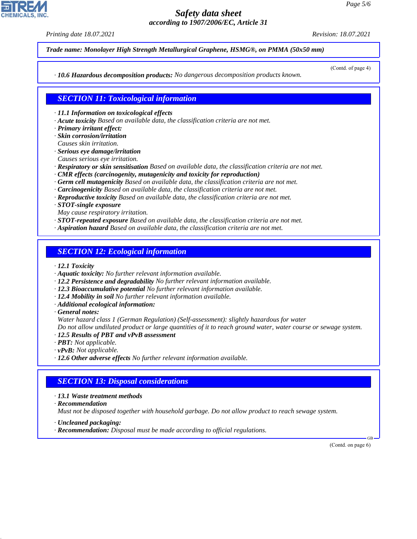*Printing date 18.07.2021 Revision: 18.07.2021*

*Trade name: Monolayer High Strength Metallurgical Graphene, HSMG®, on PMMA (50x50 mm)*

(Contd. of page 4)

*· 10.6 Hazardous decomposition products: No dangerous decomposition products known.*

*SECTION 11: Toxicological information*

*· 11.1 Information on toxicological effects*

- *· Acute toxicity Based on available data, the classification criteria are not met.*
- *· Primary irritant effect:*
- *· Skin corrosion/irritation*
- *Causes skin irritation.*
- *· Serious eye damage/irritation*
- *Causes serious eye irritation.*
- *· Respiratory or skin sensitisation Based on available data, the classification criteria are not met.*
- *· CMR effects (carcinogenity, mutagenicity and toxicity for reproduction)*
- *· Germ cell mutagenicity Based on available data, the classification criteria are not met.*
- *· Carcinogenicity Based on available data, the classification criteria are not met.*
- *· Reproductive toxicity Based on available data, the classification criteria are not met.*
- *· STOT-single exposure*
- *May cause respiratory irritation.*
- *· STOT-repeated exposure Based on available data, the classification criteria are not met.*
- *· Aspiration hazard Based on available data, the classification criteria are not met.*

### *SECTION 12: Ecological information*

- *· 12.1 Toxicity*
- *· Aquatic toxicity: No further relevant information available.*
- *· 12.2 Persistence and degradability No further relevant information available.*
- *· 12.3 Bioaccumulative potential No further relevant information available.*
- *· 12.4 Mobility in soil No further relevant information available.*
- *· Additional ecological information:*
- *· General notes:*

*Water hazard class 1 (German Regulation) (Self-assessment): slightly hazardous for water*

*Do not allow undiluted product or large quantities of it to reach ground water, water course or sewage system.*

- *· 12.5 Results of PBT and vPvB assessment*
- *· PBT: Not applicable.*
- *· vPvB: Not applicable.*
- *· 12.6 Other adverse effects No further relevant information available.*

# *SECTION 13: Disposal considerations*

- *· 13.1 Waste treatment methods*
- *· Recommendation*

44.1.1

*Must not be disposed together with household garbage. Do not allow product to reach sewage system.*

- *· Uncleaned packaging:*
- *· Recommendation: Disposal must be made according to official regulations.*

(Contd. on page 6)

GB